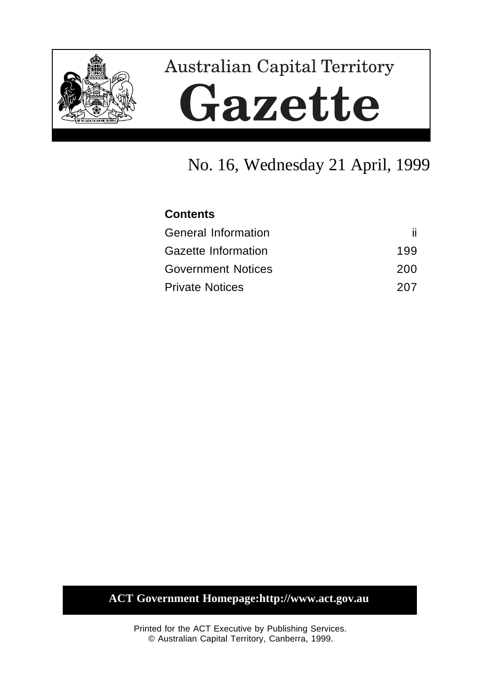

# **Australian Capital Territory** Gazette

## No. 16, Wednesday 21 April, 1999

### **Contents**

| <b>General Information</b> |     |
|----------------------------|-----|
| Gazette Information        | 199 |
| <b>Government Notices</b>  | 200 |
| <b>Private Notices</b>     | 207 |

## **ACT Government Homepage:http://www.act.gov.au**

Printed for the ACT Executive by Publishing Services. © Australian Capital Territory, Canberra, 1999.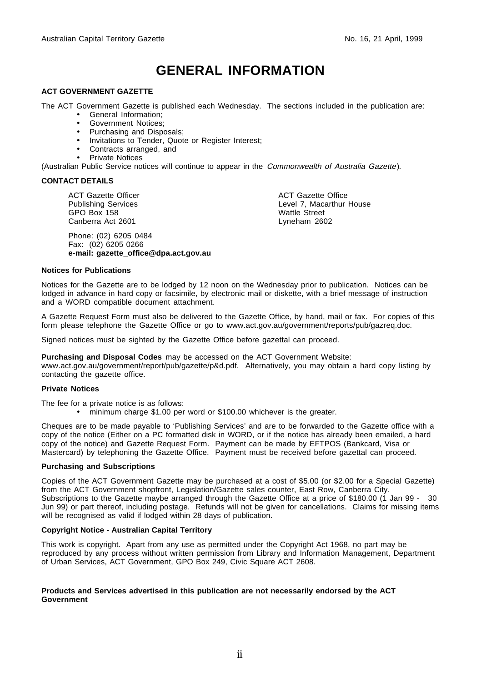## **GENERAL INFORMATION**

#### **ACT GOVERNMENT GAZETTE**

The ACT Government Gazette is published each Wednesday. The sections included in the publication are:

- General Information;
- Government Notices;
- Purchasing and Disposals;
- Invitations to Tender, Quote or Register Interest;
- Contracts arranged, and
- Private Notices

(Australian Public Service notices will continue to appear in the Commonwealth of Australia Gazette).

#### **CONTACT DETAILS**

ACT Gazette Officer Publishing Services GPO Box 158 Canberra Act 2601

Phone: (02) 6205 0484 Fax: (02) 6205 0266 **e-mail: gazette\_office@dpa.act.gov.au** ACT Gazette Office Level 7, Macarthur House Wattle Street Lyneham 2602

#### **Notices for Publications**

Notices for the Gazette are to be lodged by 12 noon on the Wednesday prior to publication. Notices can be lodged in advance in hard copy or facsimile, by electronic mail or diskette, with a brief message of instruction and a WORD compatible document attachment.

A Gazette Request Form must also be delivered to the Gazette Office, by hand, mail or fax. For copies of this form please telephone the Gazette Office or go to www.act.gov.au/government/reports/pub/gazreq.doc.

Signed notices must be sighted by the Gazette Office before gazettal can proceed.

**Purchasing and Disposal Codes** may be accessed on the ACT Government Website:

www.act.gov.au/government/report/pub/gazette/p&d.pdf. Alternatively, you may obtain a hard copy listing by contacting the gazette office.

#### **Private Notices**

The fee for a private notice is as follows:

• minimum charge \$1.00 per word or \$100.00 whichever is the greater.

Cheques are to be made payable to 'Publishing Services' and are to be forwarded to the Gazette office with a copy of the notice (Either on a PC formatted disk in WORD, or if the notice has already been emailed, a hard copy of the notice) and Gazette Request Form. Payment can be made by EFTPOS (Bankcard, Visa or Mastercard) by telephoning the Gazette Office. Payment must be received before gazettal can proceed.

#### **Purchasing and Subscriptions**

Copies of the ACT Government Gazette may be purchased at a cost of \$5.00 (or \$2.00 for a Special Gazette) from the ACT Government shopfront, Legislation/Gazette sales counter, East Row, Canberra City. Subscriptions to the Gazette maybe arranged through the Gazette Office at a price of \$180.00 (1 Jan 99 - 30 Jun 99) or part thereof, including postage. Refunds will not be given for cancellations. Claims for missing items will be recognised as valid if lodged within 28 days of publication.

#### **Copyright Notice - Australian Capital Territory**

This work is copyright. Apart from any use as permitted under the Copyright Act 1968, no part may be reproduced by any process without written permission from Library and Information Management, Department of Urban Services, ACT Government, GPO Box 249, Civic Square ACT 2608.

#### **Products and Services advertised in this publication are not necessarily endorsed by the ACT Government**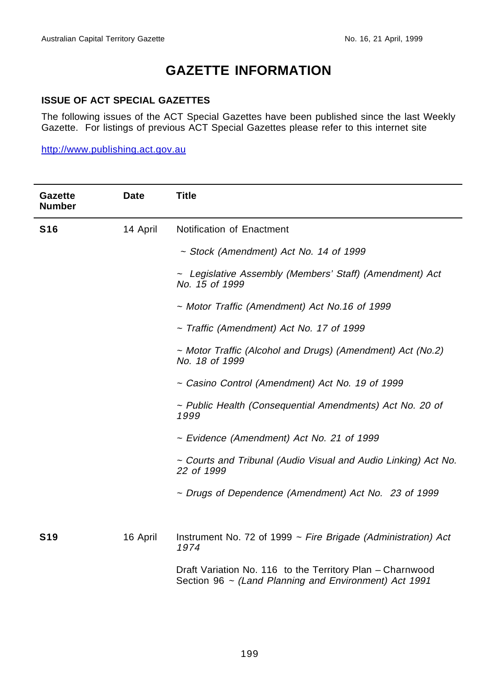## **GAZETTE INFORMATION**

#### **ISSUE OF ACT SPECIAL GAZETTES**

The following issues of the ACT Special Gazettes have been published since the last Weekly Gazette. For listings of previous ACT Special Gazettes please refer to this internet site

http://www.publishing.act.gov.au

| <b>Gazette</b><br><b>Number</b> | <b>Date</b> | <b>Title</b>                                                                                                       |  |
|---------------------------------|-------------|--------------------------------------------------------------------------------------------------------------------|--|
| <b>S16</b>                      | 14 April    | Notification of Enactment                                                                                          |  |
|                                 |             | $\sim$ Stock (Amendment) Act No. 14 of 1999                                                                        |  |
|                                 |             | ~ Legislative Assembly (Members' Staff) (Amendment) Act<br>No. 15 of 1999                                          |  |
|                                 |             | ~ Motor Traffic (Amendment) Act No.16 of 1999                                                                      |  |
|                                 |             | $\sim$ Traffic (Amendment) Act No. 17 of 1999                                                                      |  |
|                                 |             | ~ Motor Traffic (Alcohol and Drugs) (Amendment) Act (No.2)<br>No. 18 of 1999                                       |  |
|                                 |             | ~ Casino Control (Amendment) Act No. 19 of 1999                                                                    |  |
|                                 |             | ~ Public Health (Consequential Amendments) Act No. 20 of<br>1999                                                   |  |
|                                 |             | ~ Evidence (Amendment) Act No. 21 of 1999                                                                          |  |
|                                 |             | ~ Courts and Tribunal (Audio Visual and Audio Linking) Act No.<br>22 of 1999                                       |  |
|                                 |             | ~ Drugs of Dependence (Amendment) Act No. 23 of 1999                                                               |  |
| <b>S19</b>                      | 16 April    | Instrument No. 72 of 1999 $\sim$ Fire Brigade (Administration) Act<br>1974                                         |  |
|                                 |             | Draft Variation No. 116 to the Territory Plan - Charnwood<br>Section 96 ~ (Land Planning and Environment) Act 1991 |  |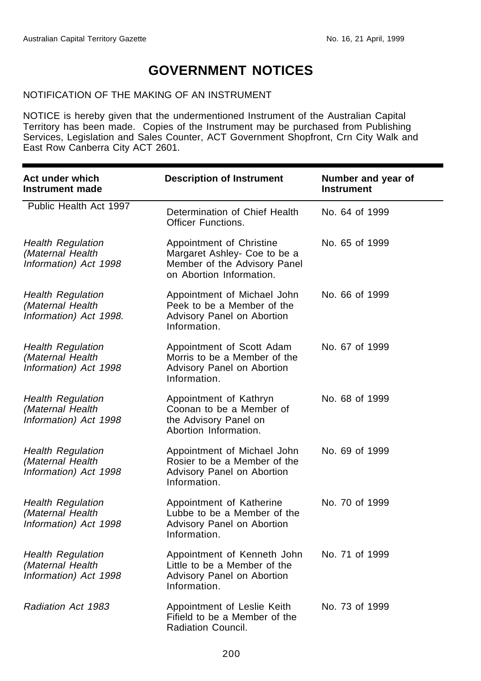## **GOVERNMENT NOTICES**

#### NOTIFICATION OF THE MAKING OF AN INSTRUMENT

NOTICE is hereby given that the undermentioned Instrument of the Australian Capital Territory has been made. Copies of the Instrument may be purchased from Publishing Services, Legislation and Sales Counter, ACT Government Shopfront, Crn City Walk and East Row Canberra City ACT 2601.

| Act under which<br><b>Instrument made</b>                              | <b>Description of Instrument</b>                                                                                     | Number and year of<br><b>Instrument</b> |
|------------------------------------------------------------------------|----------------------------------------------------------------------------------------------------------------------|-----------------------------------------|
| Public Health Act 1997                                                 | Determination of Chief Health<br><b>Officer Functions.</b>                                                           | No. 64 of 1999                          |
| <b>Health Regulation</b><br>(Maternal Health<br>Information) Act 1998  | Appointment of Christine<br>Margaret Ashley- Coe to be a<br>Member of the Advisory Panel<br>on Abortion Information. | No. 65 of 1999                          |
| <b>Health Regulation</b><br>(Maternal Health<br>Information) Act 1998. | Appointment of Michael John<br>Peek to be a Member of the<br>Advisory Panel on Abortion<br>Information.              | No. 66 of 1999                          |
| <b>Health Regulation</b><br>(Maternal Health<br>Information) Act 1998  | Appointment of Scott Adam<br>Morris to be a Member of the<br>Advisory Panel on Abortion<br>Information.              | No. 67 of 1999                          |
| <b>Health Regulation</b><br>(Maternal Health<br>Information) Act 1998  | Appointment of Kathryn<br>Coonan to be a Member of<br>the Advisory Panel on<br>Abortion Information.                 | No. 68 of 1999                          |
| <b>Health Regulation</b><br>(Maternal Health<br>Information) Act 1998  | Appointment of Michael John<br>Rosier to be a Member of the<br>Advisory Panel on Abortion<br>Information.            | No. 69 of 1999                          |
| <b>Health Regulation</b><br>(Maternal Health<br>Information) Act 1998  | Appointment of Katherine<br>Lubbe to be a Member of the<br>Advisory Panel on Abortion<br>Information.                | No. 70 of 1999                          |
| <b>Health Regulation</b><br>(Maternal Health<br>Information) Act 1998  | Appointment of Kenneth John<br>Little to be a Member of the<br>Advisory Panel on Abortion<br>Information.            | No. 71 of 1999                          |
| Radiation Act 1983                                                     | Appointment of Leslie Keith<br>Fifield to be a Member of the<br>Radiation Council.                                   | No. 73 of 1999                          |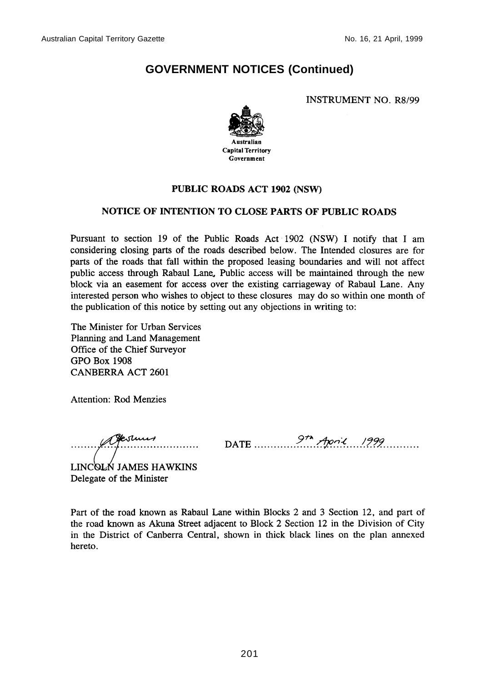**INSTRUMENT NO. R8/99** 



#### PUBLIC ROADS ACT 1902 (NSW)

#### NOTICE OF INTENTION TO CLOSE PARTS OF PUBLIC ROADS

Pursuant to section 19 of the Public Roads Act 1902 (NSW) I notify that I am considering closing parts of the roads described below. The Intended closures are for parts of the roads that fall within the proposed leasing boundaries and will not affect public access through Rabaul Lane, Public access will be maintained through the new block via an easement for access over the existing carriageway of Rabaul Lane. Any interested person who wishes to object to these closures may do so within one month of the publication of this notice by setting out any objections in writing to:

The Minister for Urban Services Planning and Land Management Office of the Chief Surveyor **GPO Box 1908 CANBERRA ACT 2601** 

**Attention: Rod Menzies** 

aferment

DATE  $9^{th}$  April 1999

LINCOLN JAMES HAWKINS Delegate of the Minister

Part of the road known as Rabaul Lane within Blocks 2 and 3 Section 12, and part of the road known as Akuna Street adjacent to Block 2 Section 12 in the Division of City in the District of Canberra Central, shown in thick black lines on the plan annexed hereto.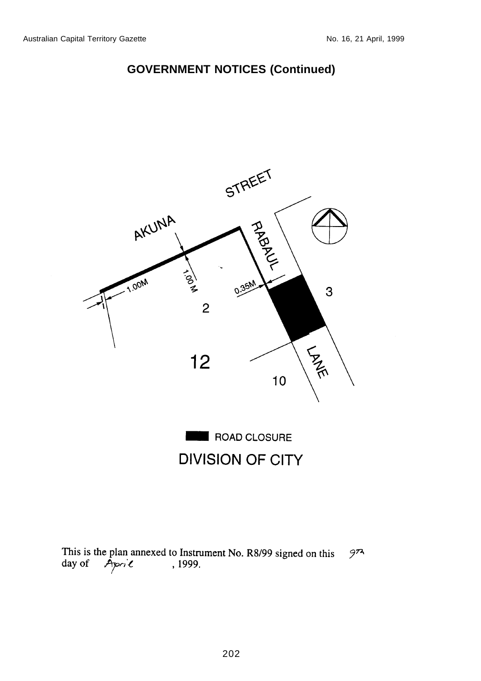

**DIVISION OF CITY** 

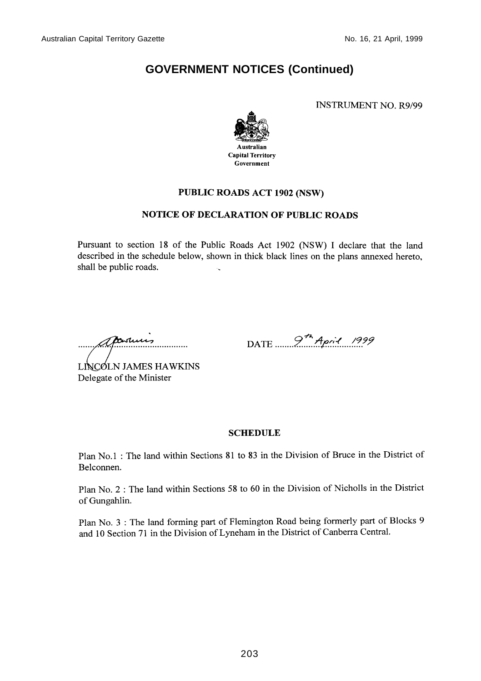**INSTRUMENT NO. R9/99** 



#### PUBLIC ROADS ACT 1902 (NSW)

#### **NOTICE OF DECLARATION OF PUBLIC ROADS**

Pursuant to section 18 of the Public Roads Act 1902 (NSW) I declare that the land described in the schedule below, shown in thick black lines on the plans annexed hereto, shall be public roads.

cartures

DATE  $97^{4}$  April 1999

LINCOLN JAMES HAWKINS Delegate of the Minister

#### **SCHEDULE**

Plan No.1 : The land within Sections 81 to 83 in the Division of Bruce in the District of Belconnen.

Plan No. 2 : The land within Sections 58 to 60 in the Division of Nicholls in the District of Gungahlin.

Plan No. 3 : The land forming part of Flemington Road being formerly part of Blocks 9 and 10 Section 71 in the Division of Lyneham in the District of Canberra Central.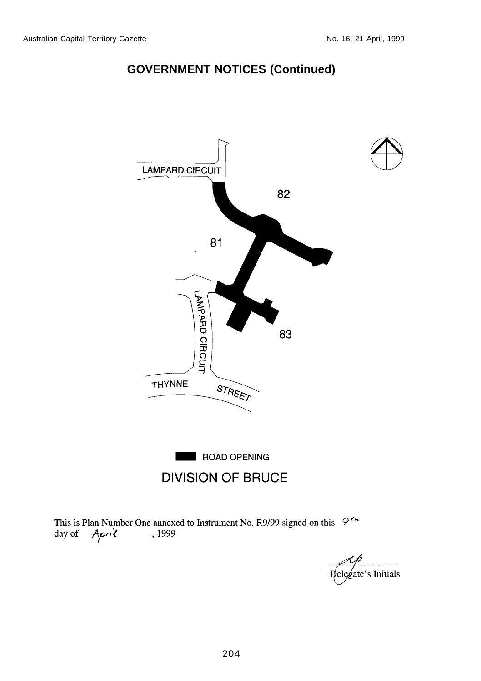

This is Plan Number One annexed to Instrument No. R9/99 signed on this  $9^{\prime\prime}$ April , 1999 day of

gate's Initials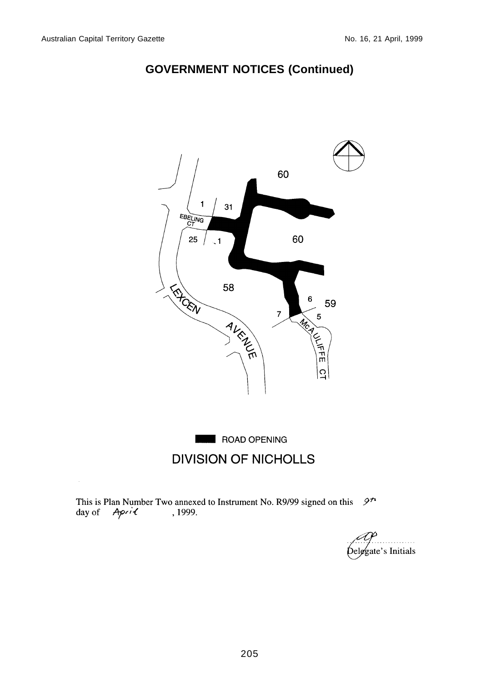

# **DIVISION OF NICHOLLS**

 $9<sup>n</sup>$ This is Plan Number Two annexed to Instrument No. R9/99 signed on this day of April , 1999.

gate's Initials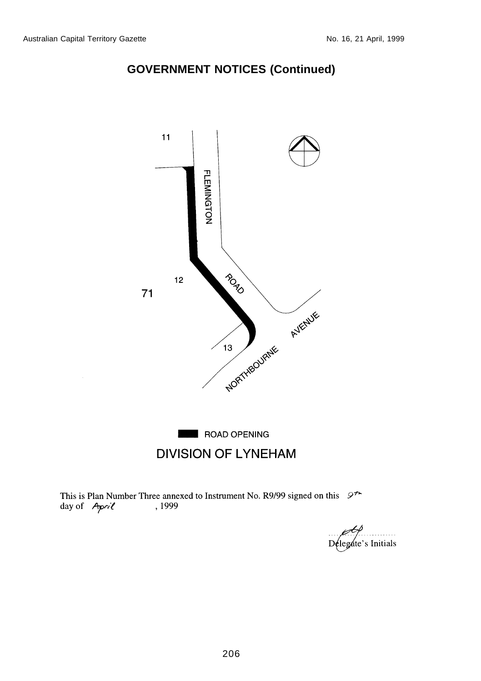



This is Plan Number Three annexed to Instrument No. R9/99 signed on this  $9^{\uparrow\uparrow}$ day of April , 1999

Delegate's Initials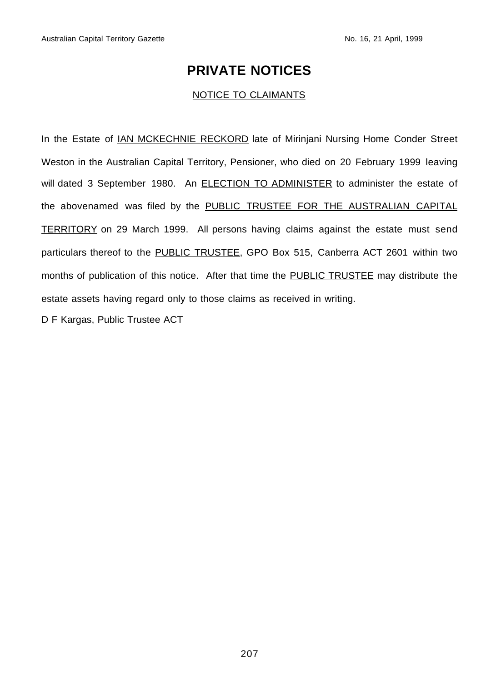## **PRIVATE NOTICES**

#### NOTICE TO CLAIMANTS

In the Estate of <u>IAN MCKECHNIE RECKORD</u> late of Mirinjani Nursing Home Conder Street Weston in the Australian Capital Territory, Pensioner, who died on 20 February 1999 leaving will dated 3 September 1980. An **ELECTION TO ADMINISTER** to administer the estate of the abovenamed was filed by the PUBLIC TRUSTEE FOR THE AUSTRALIAN CAPITAL TERRITORY on 29 March 1999. All persons having claims against the estate must send particulars thereof to the PUBLIC TRUSTEE, GPO Box 515, Canberra ACT 2601 within two months of publication of this notice. After that time the PUBLIC TRUSTEE may distribute the estate assets having regard only to those claims as received in writing.

D F Kargas, Public Trustee ACT